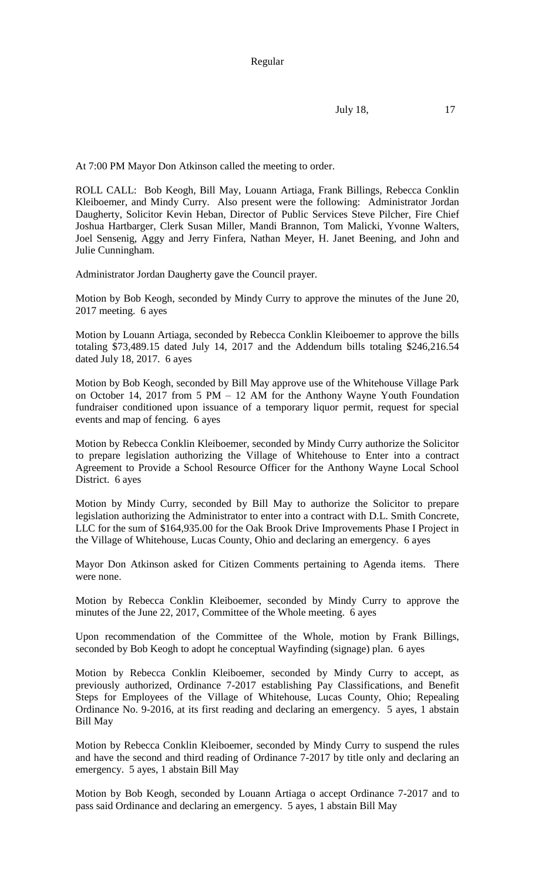Regular

July 18, 17

At 7:00 PM Mayor Don Atkinson called the meeting to order.

ROLL CALL: Bob Keogh, Bill May, Louann Artiaga, Frank Billings, Rebecca Conklin Kleiboemer, and Mindy Curry. Also present were the following: Administrator Jordan Daugherty, Solicitor Kevin Heban, Director of Public Services Steve Pilcher, Fire Chief Joshua Hartbarger, Clerk Susan Miller, Mandi Brannon, Tom Malicki, Yvonne Walters, Joel Sensenig, Aggy and Jerry Finfera, Nathan Meyer, H. Janet Beening, and John and Julie Cunningham.

Administrator Jordan Daugherty gave the Council prayer.

Motion by Bob Keogh, seconded by Mindy Curry to approve the minutes of the June 20, 2017 meeting. 6 ayes

Motion by Louann Artiaga, seconded by Rebecca Conklin Kleiboemer to approve the bills totaling \$73,489.15 dated July 14, 2017 and the Addendum bills totaling \$246,216.54 dated July 18, 2017. 6 ayes

Motion by Bob Keogh, seconded by Bill May approve use of the Whitehouse Village Park on October 14, 2017 from 5 PM – 12 AM for the Anthony Wayne Youth Foundation fundraiser conditioned upon issuance of a temporary liquor permit, request for special events and map of fencing. 6 ayes

Motion by Rebecca Conklin Kleiboemer, seconded by Mindy Curry authorize the Solicitor to prepare legislation authorizing the Village of Whitehouse to Enter into a contract Agreement to Provide a School Resource Officer for the Anthony Wayne Local School District. 6 ayes

Motion by Mindy Curry, seconded by Bill May to authorize the Solicitor to prepare legislation authorizing the Administrator to enter into a contract with D.L. Smith Concrete, LLC for the sum of \$164,935.00 for the Oak Brook Drive Improvements Phase I Project in the Village of Whitehouse, Lucas County, Ohio and declaring an emergency. 6 ayes

Mayor Don Atkinson asked for Citizen Comments pertaining to Agenda items. There were none.

Motion by Rebecca Conklin Kleiboemer, seconded by Mindy Curry to approve the minutes of the June 22, 2017, Committee of the Whole meeting. 6 ayes

Upon recommendation of the Committee of the Whole, motion by Frank Billings, seconded by Bob Keogh to adopt he conceptual Wayfinding (signage) plan. 6 ayes

Motion by Rebecca Conklin Kleiboemer, seconded by Mindy Curry to accept, as previously authorized, Ordinance 7-2017 establishing Pay Classifications, and Benefit Steps for Employees of the Village of Whitehouse, Lucas County, Ohio; Repealing Ordinance No. 9-2016, at its first reading and declaring an emergency. 5 ayes, 1 abstain Bill May

Motion by Rebecca Conklin Kleiboemer, seconded by Mindy Curry to suspend the rules and have the second and third reading of Ordinance 7-2017 by title only and declaring an emergency. 5 ayes, 1 abstain Bill May

Motion by Bob Keogh, seconded by Louann Artiaga o accept Ordinance 7-2017 and to pass said Ordinance and declaring an emergency. 5 ayes, 1 abstain Bill May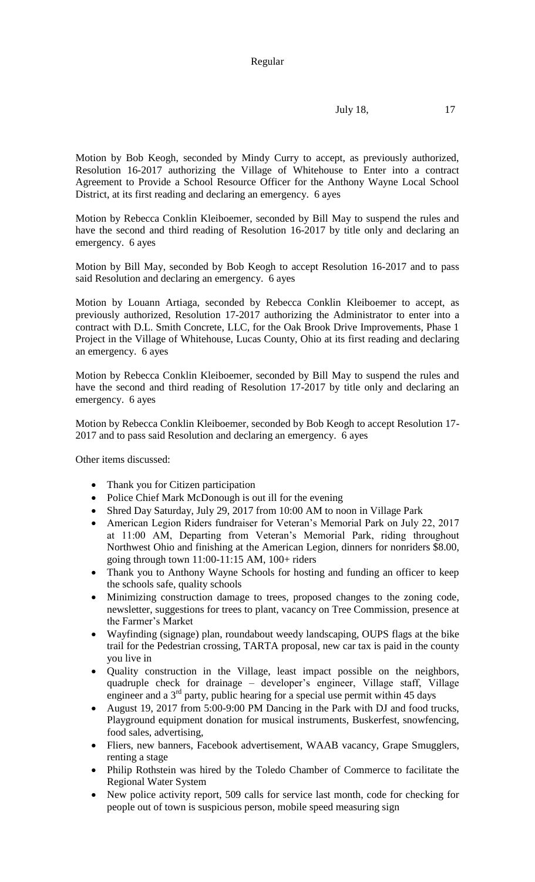July 18, 17

Motion by Bob Keogh, seconded by Mindy Curry to accept, as previously authorized, Resolution 16-2017 authorizing the Village of Whitehouse to Enter into a contract Agreement to Provide a School Resource Officer for the Anthony Wayne Local School District, at its first reading and declaring an emergency. 6 ayes

Motion by Rebecca Conklin Kleiboemer, seconded by Bill May to suspend the rules and have the second and third reading of Resolution 16-2017 by title only and declaring an emergency. 6 ayes

Motion by Bill May, seconded by Bob Keogh to accept Resolution 16-2017 and to pass said Resolution and declaring an emergency. 6 ayes

Motion by Louann Artiaga, seconded by Rebecca Conklin Kleiboemer to accept, as previously authorized, Resolution 17-2017 authorizing the Administrator to enter into a contract with D.L. Smith Concrete, LLC, for the Oak Brook Drive Improvements, Phase 1 Project in the Village of Whitehouse, Lucas County, Ohio at its first reading and declaring an emergency. 6 ayes

Motion by Rebecca Conklin Kleiboemer, seconded by Bill May to suspend the rules and have the second and third reading of Resolution 17-2017 by title only and declaring an emergency. 6 ayes

Motion by Rebecca Conklin Kleiboemer, seconded by Bob Keogh to accept Resolution 17- 2017 and to pass said Resolution and declaring an emergency. 6 ayes

Other items discussed:

- Thank you for Citizen participation
- Police Chief Mark McDonough is out ill for the evening
- Shred Day Saturday, July 29, 2017 from 10:00 AM to noon in Village Park
- American Legion Riders fundraiser for Veteran's Memorial Park on July 22, 2017 at 11:00 AM, Departing from Veteran's Memorial Park, riding throughout Northwest Ohio and finishing at the American Legion, dinners for nonriders \$8.00, going through town 11:00-11:15 AM, 100+ riders
- Thank you to Anthony Wayne Schools for hosting and funding an officer to keep the schools safe, quality schools
- Minimizing construction damage to trees, proposed changes to the zoning code, newsletter, suggestions for trees to plant, vacancy on Tree Commission, presence at the Farmer's Market
- Wayfinding (signage) plan, roundabout weedy landscaping, OUPS flags at the bike trail for the Pedestrian crossing, TARTA proposal, new car tax is paid in the county you live in
- Quality construction in the Village, least impact possible on the neighbors, quadruple check for drainage – developer's engineer, Village staff, Village engineer and a  $3<sup>rd</sup>$  party, public hearing for a special use permit within 45 days
- August 19, 2017 from 5:00-9:00 PM Dancing in the Park with DJ and food trucks, Playground equipment donation for musical instruments, Buskerfest, snowfencing, food sales, advertising,
- Fliers, new banners, Facebook advertisement, WAAB vacancy, Grape Smugglers, renting a stage
- Philip Rothstein was hired by the Toledo Chamber of Commerce to facilitate the Regional Water System
- New police activity report, 509 calls for service last month, code for checking for people out of town is suspicious person, mobile speed measuring sign